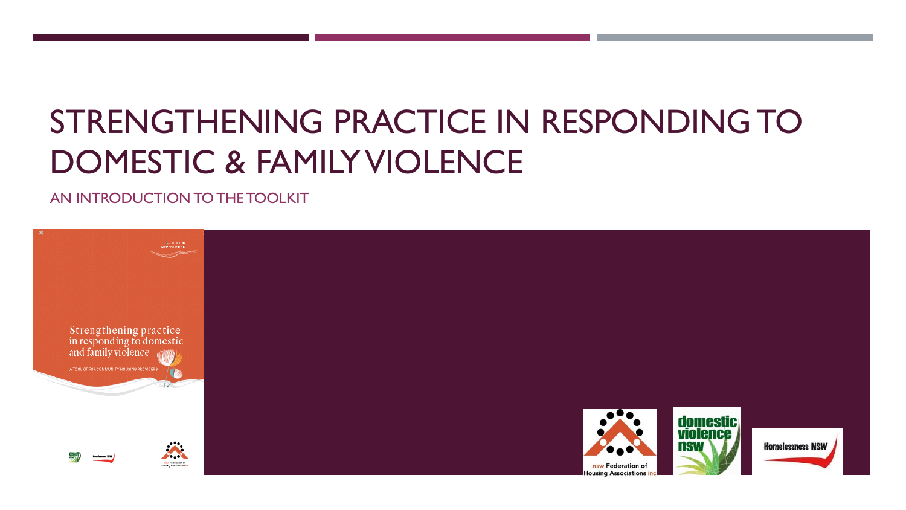# STRENGTHENING PRACTICE IN RESPONDING TO DOMESTIC & FAMILY VIOLENCE

AN INTRODUCTION TO THE TOOLKIT

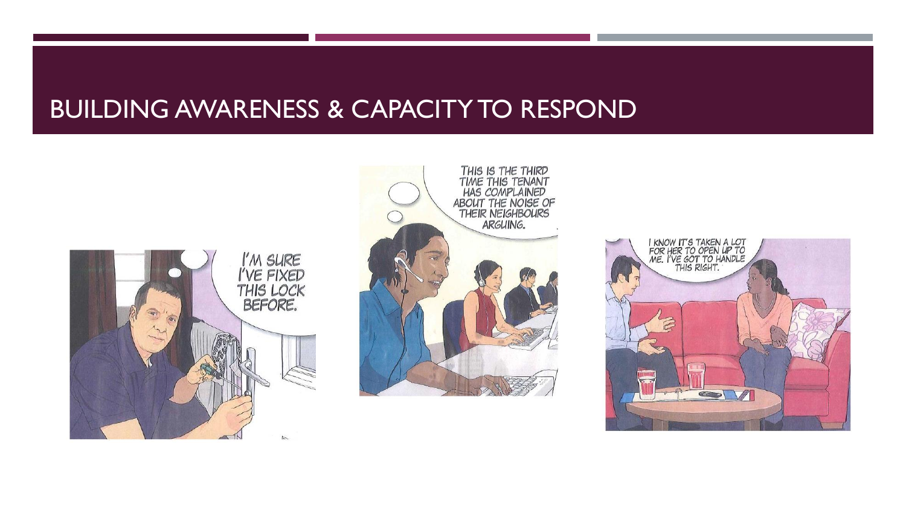#### BUILDING AWARENESS & CAPACITY TO RESPOND





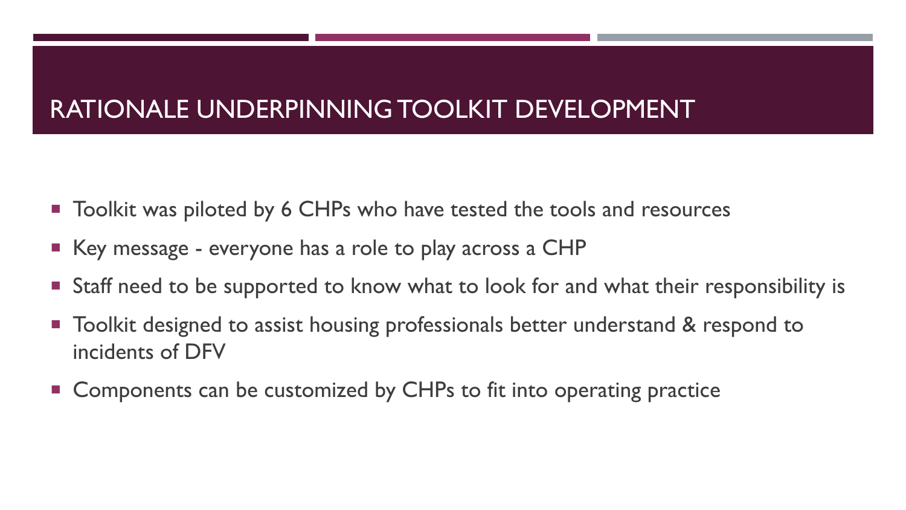#### RATIONALE UNDERPINNING TOOLKIT DEVELOPMENT

- Toolkit was piloted by 6 CHPs who have tested the tools and resources
- Key message everyone has a role to play across a CHP
- Staff need to be supported to know what to look for and what their responsibility is
- Toolkit designed to assist housing professionals better understand & respond to incidents of DFV
- Components can be customized by CHPs to fit into operating practice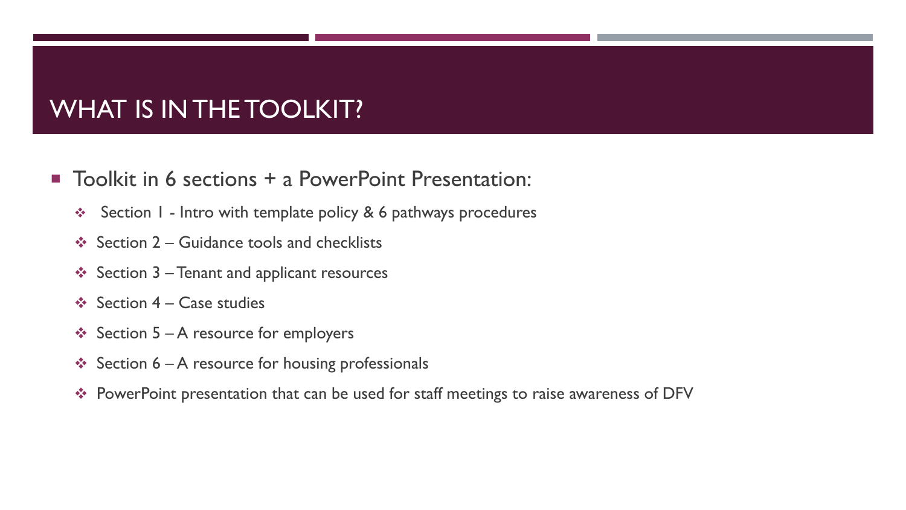#### WHAT IS IN THE TOOLKIT?

- Toolkit in 6 sections + a PowerPoint Presentation:
	- Section I Intro with template policy & 6 pathways procedures
	- $\div$  Section 2 Guidance tools and checklists
	- $\div$  Section 3 Tenant and applicant resources
	- $\div$  Section 4 Case studies
	- $\div$  Section 5 A resource for employers
	- Section  $6 A$  resource for housing professionals
	- ◆ PowerPoint presentation that can be used for staff meetings to raise awareness of DFV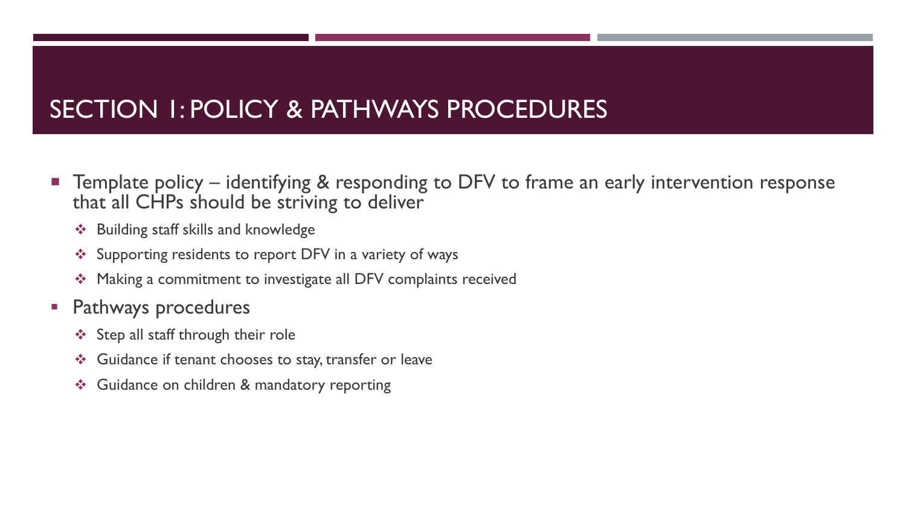#### SECTION 1: POLICY & PATHWAYS PROCEDURES

- **Template policy** identifying & responding to DFV to frame an early intervention response that all CHPs should be striving to deliver
	- ❖ Building staff skills and knowledge
	- ❖ Supporting residents to report DFV in a variety of ways
	- ❖ Making a commitment to investigate all DFV complaints received
- **Pathways procedures** 
	- $\div$  Step all staff through their role
	- ❖ Guidance if tenant chooses to stay, transfer or leave
	- ❖ Guidance on children & mandatory reporting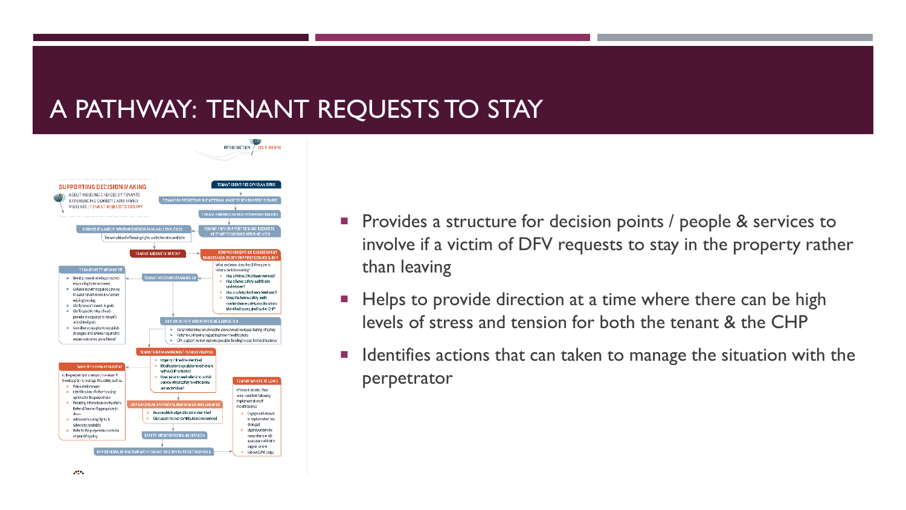## A PATHWAY: TENANT REQUESTS TO STAY



- **Provides a structure for decision points / people & services to** involve if a victim of DFV requests to stay in the property rather than leaving
- Helps to provide direction at a time where there can be high levels of stress and tension for both the tenant & the CHP
- **If Identifies actions that can taken to manage the situation with the** perpetrator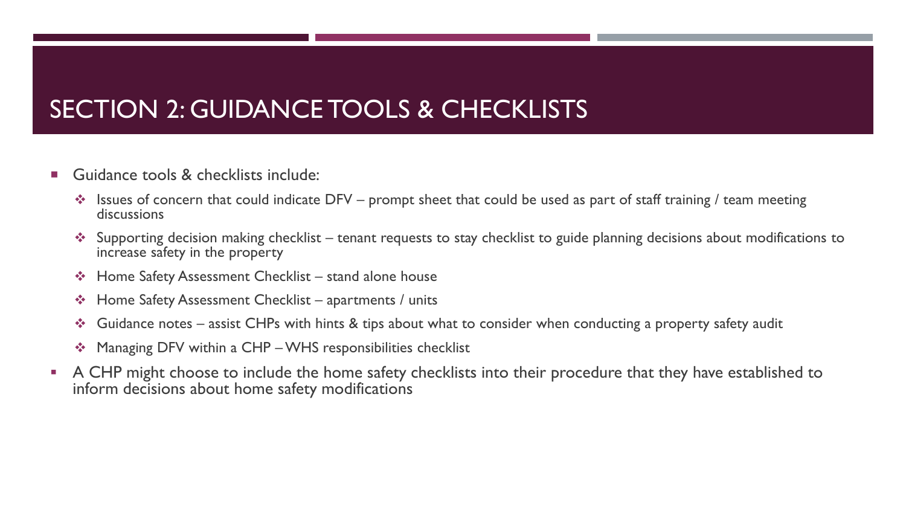#### SECTION 2: GUIDANCE TOOLS & CHECKLISTS

- Guidance tools & checklists include:
	- $\cdot\cdot\cdot$  Issues of concern that could indicate DFV prompt sheet that could be used as part of staff training / team meeting discussions
	- $\bullet\!\!\!\!\bullet\!\!\!\!\bullet\!\!\!\!\bullet$  Supporting decision making checklist tenant requests to stay checklist to guide planning decisions about modifications to increase safety in the property
	- Home Safety Assessment Checklist stand alone house
	- Home Safety Assessment Checklist apartments / units
	- $\cdot$  Guidance notes assist CHPs with hints & tips about what to consider when conducting a property safety audit
	- ❖ Managing DFV within a CHP WHS responsibilities checklist
- A CHP might choose to include the home safety checklists into their procedure that they have established to inform decisions about home safety modifications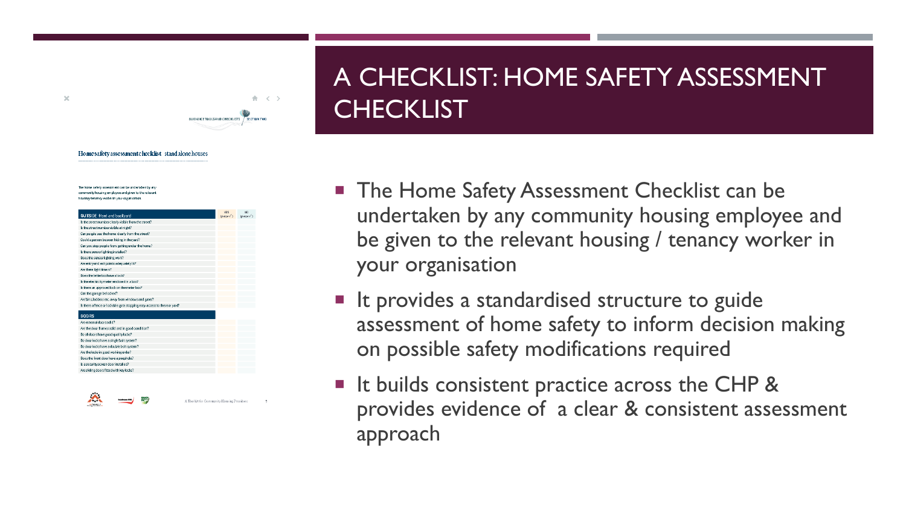#### $A \leq 5$ **GUIDANCE TO OLS AND CHECKLISTS / SECTION TWO**

#### Home safety assessment checklist stand alone houses

The home safety assessment can be undertaken by any community housing employee and given to the relevant housing/tenancy worker in your organisation

 $\mathbb X$ 

| <b>OUTSIDE</b> front and backyard                                        | YES<br>(bloase√i | NO<br>blase/ |
|--------------------------------------------------------------------------|------------------|--------------|
| is the street number clearly visible from the street?                    |                  |              |
| is the street number visible at night?                                   |                  |              |
| Can people see the home dearly from the street?                          |                  |              |
| Could a person be seen hiding in the yard?                               |                  |              |
| Can you stop people from getting under the home?                         |                  |              |
| is there sensorlighting installed?                                       |                  |              |
| Does the sensor lighting work?                                           |                  |              |
| Are entry and exit points adequately lit?                                |                  |              |
| Are there light timers?                                                  |                  |              |
| Boes the let tedooxhave a lock?                                          |                  |              |
| is the electricitymeter endosed in a box?                                |                  |              |
| is there an approved lock on the meter box?                              |                  |              |
| Can the garage belocked?                                                 |                  |              |
| Are bins, ladders etc. away from windows and gates?                      |                  |              |
| is there a fence or lockable gate stopping easy access to the rear yard? |                  |              |
| <b>DOORS</b>                                                             |                  |              |
| Ave external docassabid?                                                 |                  |              |
| Are the door frames solid and in good condition?                         |                  |              |
| Do all doors have good qualitylocks?                                     |                  |              |
| Do doorlockshave a single bolt system?                                   |                  |              |
| Do doorlockshave a double bolt system?                                   |                  |              |
| Are the locks in good working order?                                     |                  |              |
| Does the front door have a peephde?                                      |                  |              |
| is a security screen door installed?                                     |                  |              |
| Are sliding doors fitted with key locks?                                 |                  |              |
|                                                                          |                  |              |
|                                                                          |                  |              |



A Toolkit for Commanity Housing Providers

# A CHECKLIST: HOME SAFETY ASSESSMENT **CHECKLIST**

- **The Home Safety Assessment Checklist can be** undertaken by any community housing employee and be given to the relevant housing / tenancy worker in your organisation
- **If all t** provides a standardised structure to guide assessment of home safety to inform decision making on possible safety modifications required
- It builds consistent practice across the CHP & provides evidence of a clear & consistent assessment approach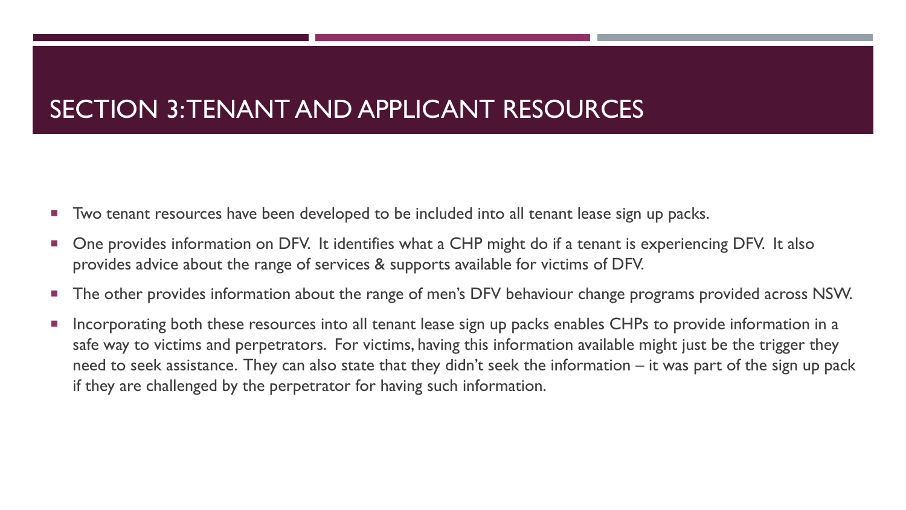#### SECTION 3: TENANT AND APPLICANT RESOURCES

- Two tenant resources have been developed to be included into all tenant lease sign up packs.
- One provides information on DFV. It identifies what a CHP might do if a tenant is experiencing DFV. It also provides advice about the range of services & supports available for victims of DFV.
- The other provides information about the range of men's DFV behaviour change programs provided across NSW.
- Incorporating both these resources into all tenant lease sign up packs enables CHPs to provide information in a safe way to victims and perpetrators. For victims, having this information available might just be the trigger they need to seek assistance. They can also state that they didn't seek the information – it was part of the sign up pack if they are challenged by the perpetrator for having such information.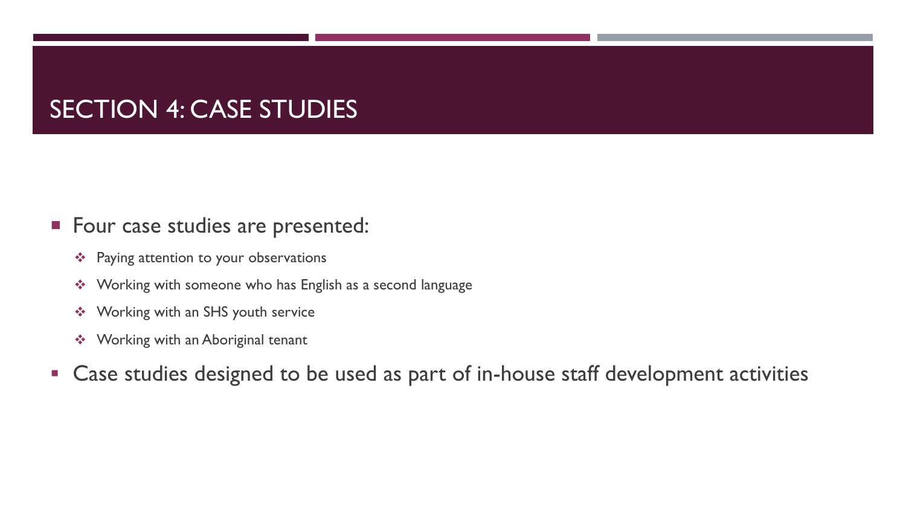#### SECTION 4: CASE STUDIES

#### **Four case studies are presented:**

- \* Paying attention to your observations
- ◆ Working with someone who has English as a second language
- **❖** Working with an SHS youth service
- **❖** Working with an Aboriginal tenant
- **Exage studies designed to be used as part of in-house staff development activities**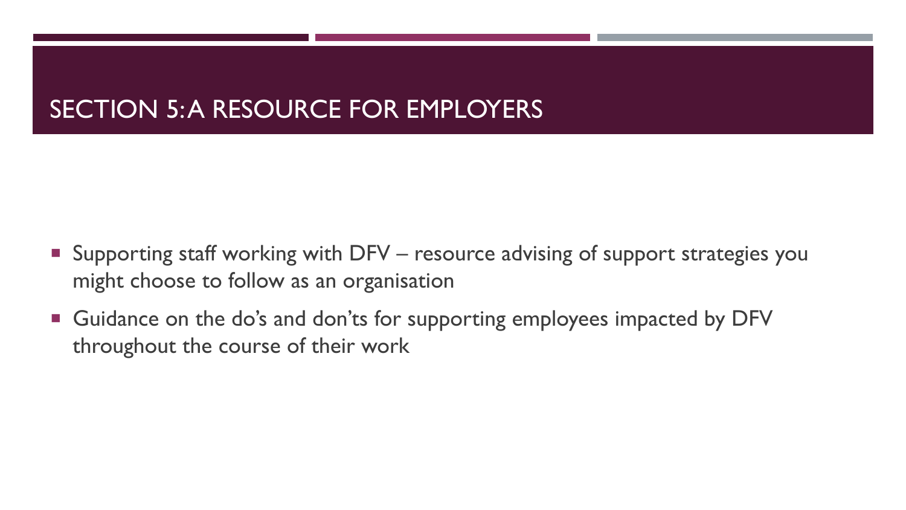#### SECTION 5: A RESOURCE FOR EMPLOYERS

- Supporting staff working with DFV resource advising of support strategies you might choose to follow as an organisation
- Guidance on the do's and don'ts for supporting employees impacted by DFV throughout the course of their work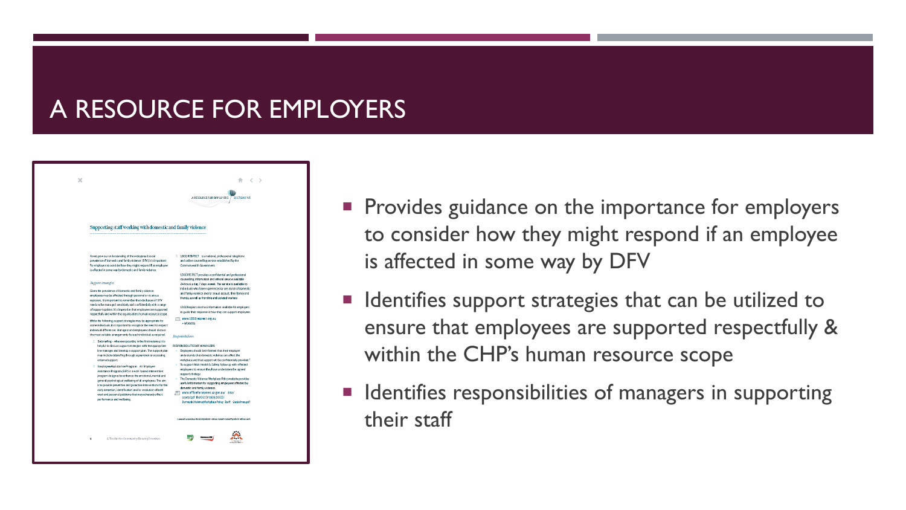#### A RESOURCE FOR EMPLOYERS



- **Provides guidance on the importance for employers** to consider how they might respond if an employee is affected in some way by DFV
- **If Identifies support strategies that can be utilized to** ensure that employees are supported respectfully & within the CHP's human resource scope
- **If Identifies responsibilities of managers in supporting** their staff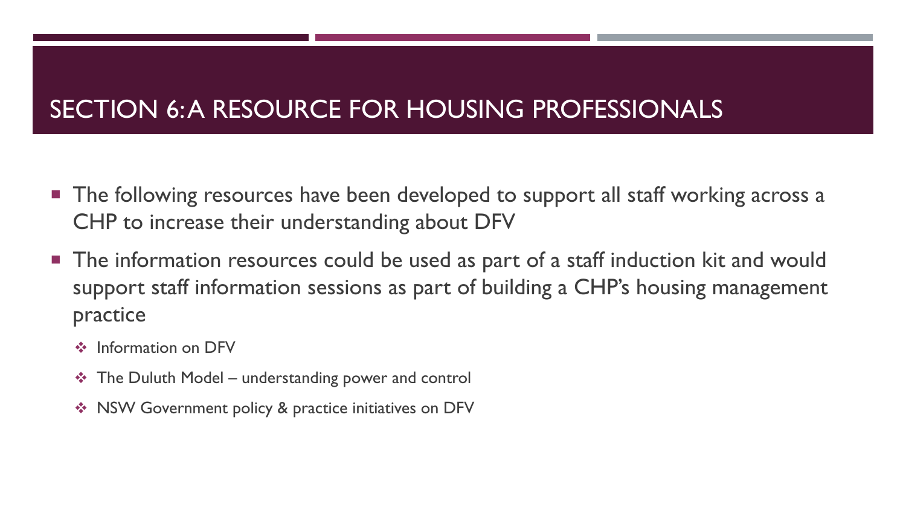## SECTION 6: A RESOURCE FOR HOUSING PROFESSIONALS

- **The following resources have been developed to support all staff working across a** CHP to increase their understanding about DFV
- The information resources could be used as part of a staff induction kit and would support staff information sessions as part of building a CHP's housing management practice
	- ❖ Information on DFV
	- $\div$  The Duluth Model understanding power and control
	- $\cdot$  **NSW Government policy & practice initiatives on DFV**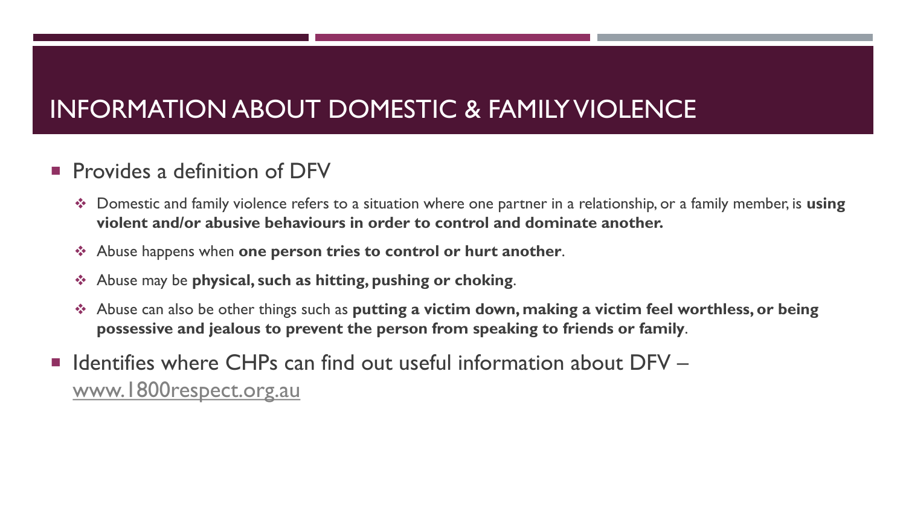#### INFORMATION ABOUT DOMESTIC & FAMILY VIOLENCE

#### **Provides a definition of DFV**

- Domestic and family violence refers to a situation where one partner in a relationship, or a family member, is **using violent and/or abusive behaviours in order to control and dominate another.**
- Abuse happens when **one person tries to control or hurt another**.
- Abuse may be **physical, such as hitting, pushing or choking**.
- Abuse can also be other things such as **putting a victim down, making a victim feel worthless, or being possessive and jealous to prevent the person from speaking to friends or family**.
- $\blacksquare$  Identifies where CHPs can find out useful information about DFV [www.1800respect.org.au](http://www.1800respect.org.au/)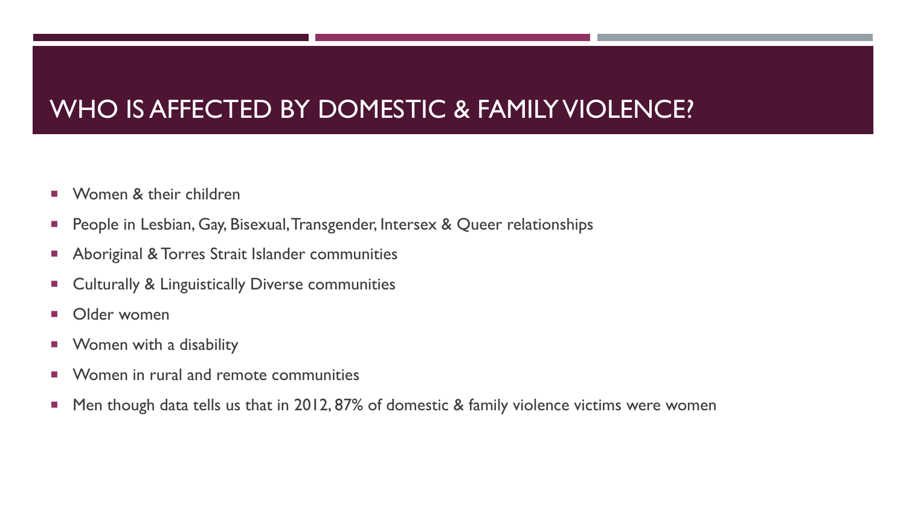#### WHO IS AFFECTED BY DOMESTIC & FAMILY VIOLENCE?

- **Nomen & their children**
- **People in Lesbian, Gay, Bisexual, Transgender, Intersex & Queer relationships**
- **Aboriginal & Torres Strait Islander communities**
- **EXECUTE: Culturally & Linguistically Diverse communities**
- **Older women**
- **Nomen with a disability**
- **Women in rural and remote communities**
- Men though data tells us that in 2012, 87% of domestic & family violence victims were women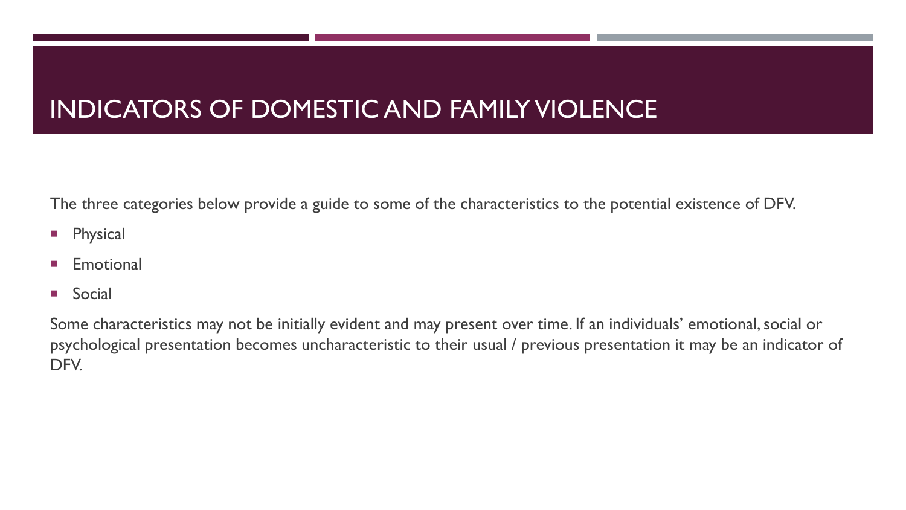#### INDICATORS OF DOMESTIC AND FAMILY VIOLENCE

The three categories below provide a guide to some of the characteristics to the potential existence of DFV.

- **Physical**
- **Emotional**
- **Social**

Some characteristics may not be initially evident and may present over time. If an individuals' emotional, social or psychological presentation becomes uncharacteristic to their usual / previous presentation it may be an indicator of DFV.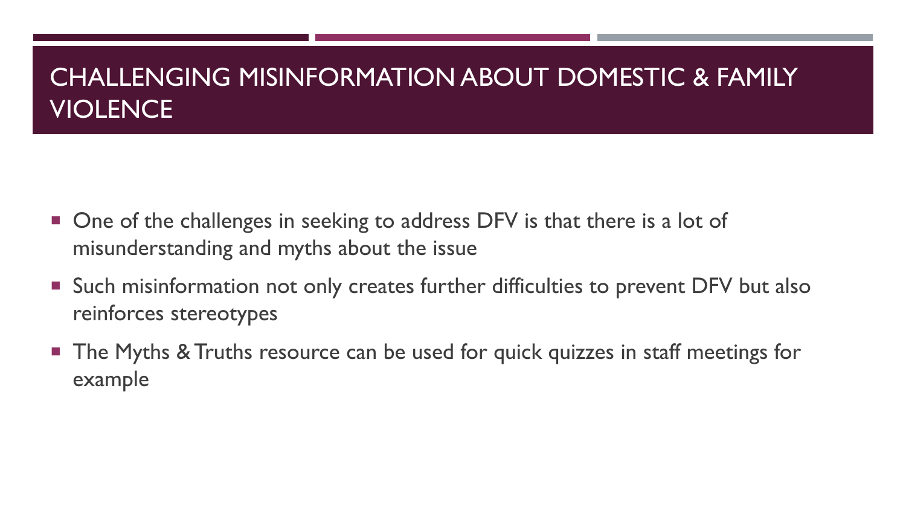#### CHALLENGING MISINFORMATION ABOUT DOMESTIC & FAMILY **VIOLENCE**

- One of the challenges in seeking to address DFV is that there is a lot of misunderstanding and myths about the issue
- Such misinformation not only creates further difficulties to prevent DFV but also reinforces stereotypes
- The Myths & Truths resource can be used for quick quizzes in staff meetings for example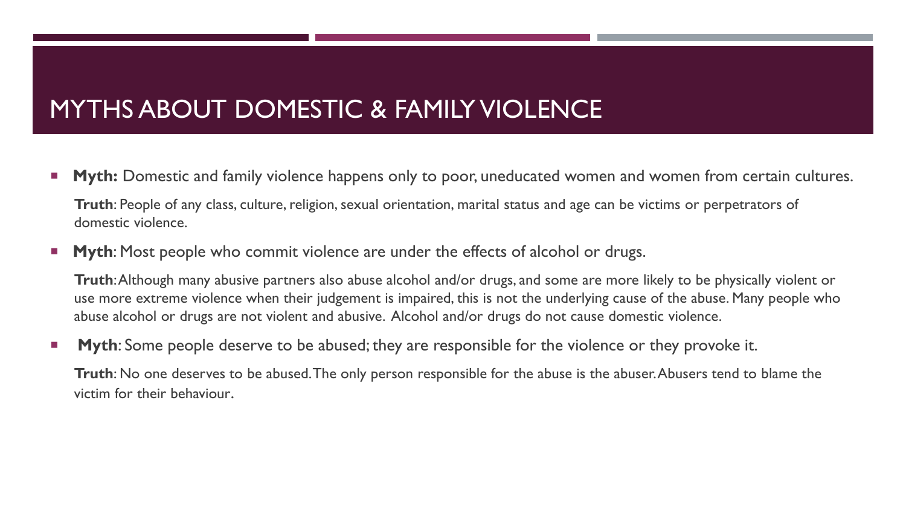#### MYTHS ABOUT DOMESTIC & FAMILY VIOLENCE

- **Myth:** Domestic and family violence happens only to poor, uneducated women and women from certain cultures. **Truth**: People of any class, culture, religion, sexual orientation, marital status and age can be victims or perpetrators of domestic violence.
- **Myth:** Most people who commit violence are under the effects of alcohol or drugs.

**Truth**: Although many abusive partners also abuse alcohol and/or drugs, and some are more likely to be physically violent or use more extreme violence when their judgement is impaired, this is not the underlying cause of the abuse. Many people who abuse alcohol or drugs are not violent and abusive. Alcohol and/or drugs do not cause domestic violence.

**Myth:** Some people deserve to be abused; they are responsible for the violence or they provoke it.

**Truth**: No one deserves to be abused. The only person responsible for the abuse is the abuser. Abusers tend to blame the victim for their behaviour.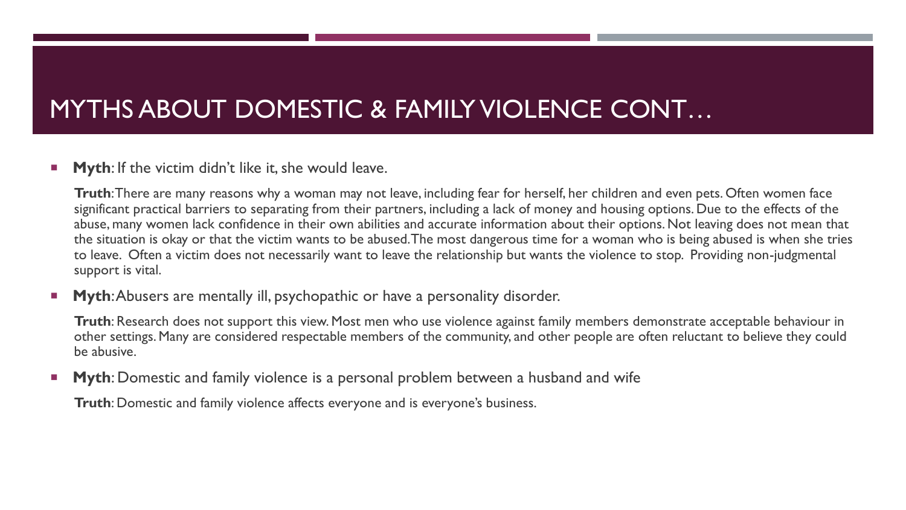### MYTHS ABOUT DOMESTIC & FAMILY VIOLENCE CONT…

#### **Myth:** If the victim didn't like it, she would leave.

**Truth**: There are many reasons why a woman may not leave, including fear for herself, her children and even pets. Often women face significant practical barriers to separating from their partners, including a lack of money and housing options. Due to the effects of the abuse, many women lack confidence in their own abilities and accurate information about their options. Not leaving does not mean that the situation is okay or that the victim wants to be abused. The most dangerous time for a woman who is being abused is when she tries to leave. Often a victim does not necessarily want to leave the relationship but wants the violence to stop. Providing non-judgmental support is vital.

**Myth:** Abusers are mentally ill, psychopathic or have a personality disorder.

**Truth**: Research does not support this view. Most men who use violence against family members demonstrate acceptable behaviour in other settings. Many are considered respectable members of the community, and other people are often reluctant to believe they could be abusive.

**Myth:** Domestic and family violence is a personal problem between a husband and wife

**Truth**: Domestic and family violence affects everyone and is everyone's business.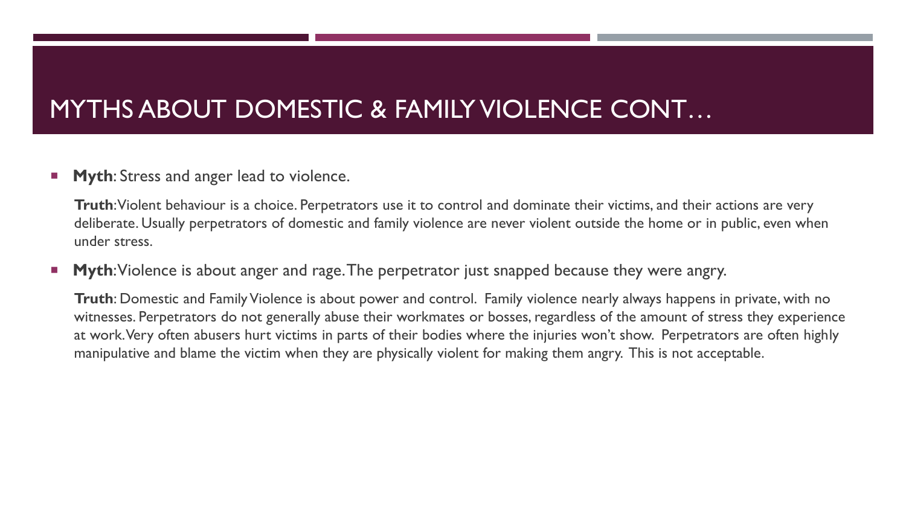#### MYTHS ABOUT DOMESTIC & FAMILY VIOLENCE CONT…

**Myth:** Stress and anger lead to violence.

**Truth**: Violent behaviour is a choice. Perpetrators use it to control and dominate their victims, and their actions are very deliberate. Usually perpetrators of domestic and family violence are never violent outside the home or in public, even when under stress.

**Myth:** Violence is about anger and rage. The perpetrator just snapped because they were angry.

**Truth**: Domestic and Family Violence is about power and control. Family violence nearly always happens in private, with no witnesses. Perpetrators do not generally abuse their workmates or bosses, regardless of the amount of stress they experience at work. Very often abusers hurt victims in parts of their bodies where the injuries won't show. Perpetrators are often highly manipulative and blame the victim when they are physically violent for making them angry. This is not acceptable.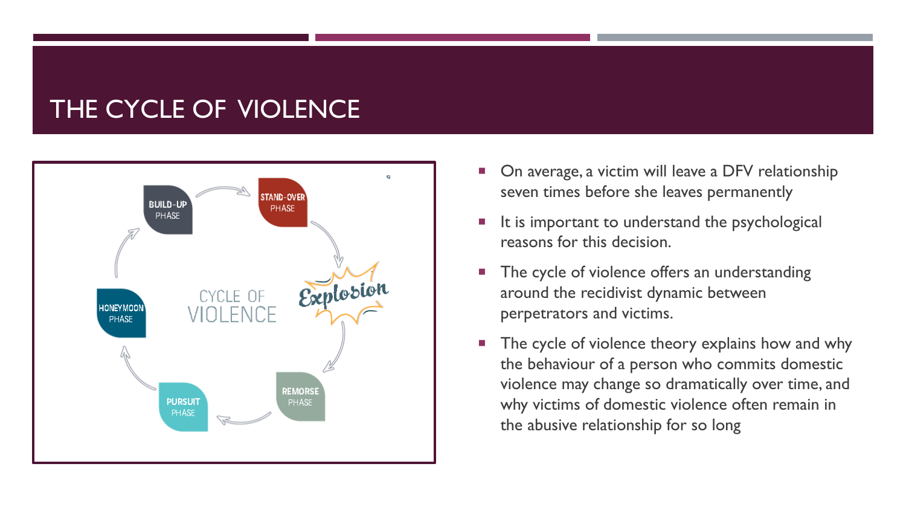#### THE CYCLE OF VIOLENCE



- On average, a victim will leave a DFV relationship seven times before she leaves permanently
- It is important to understand the psychological reasons for this decision.
- The cycle of violence offers an understanding around the recidivist dynamic between perpetrators and victims.
- The cycle of violence theory explains how and why the behaviour of a person who commits domestic violence may change so dramatically over time, and why victims of domestic violence often remain in the abusive relationship for so long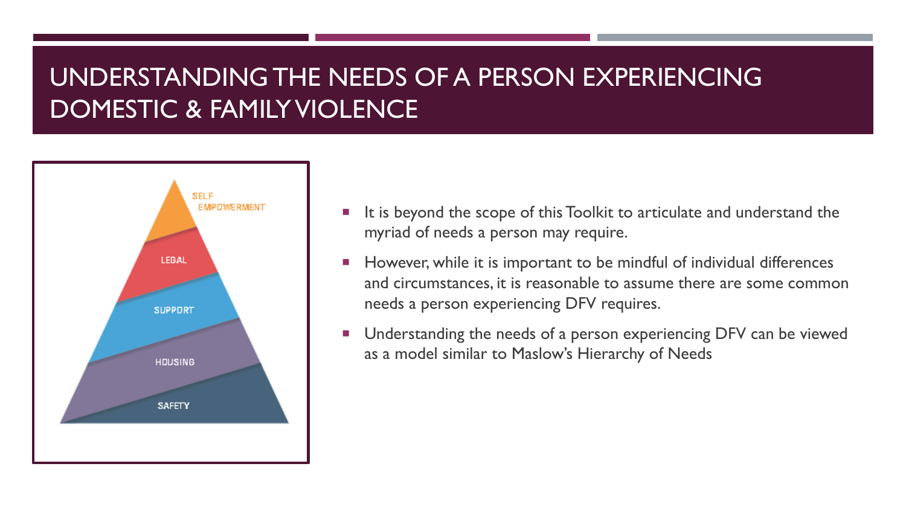#### UNDERSTANDING THE NEEDS OF A PERSON EXPERIENCING DOMESTIC & FAMILY VIOLENCE



- It is beyond the scope of this Toolkit to articulate and understand the myriad of needs a person may require.
- **However, while it is important to be mindful of individual differences** and circumstances, it is reasonable to assume there are some common needs a person experiencing DFV requires.
- Understanding the needs of a person experiencing DFV can be viewed as a model similar to Maslow's Hierarchy of Needs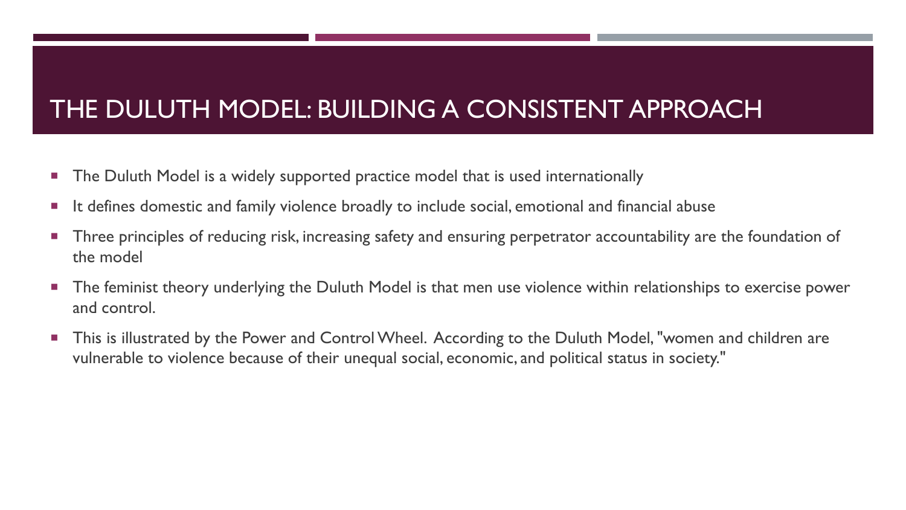#### THE DULUTH MODEL: BUILDING A CONSISTENT APPROACH

- **The Duluth Model is a widely supported practice model that is used internationally**
- It defines domestic and family violence broadly to include social, emotional and financial abuse
- **Three principles of reducing risk, increasing safety and ensuring perpetrator accountability are the foundation of** the model
- **The feminist theory underlying the Duluth Model is that men use violence within relationships to exercise power** and control.
- This is illustrated by the Power and Control Wheel. According to the Duluth Model, "women and children are vulnerable to violence because of their unequal social, economic, and political status in society."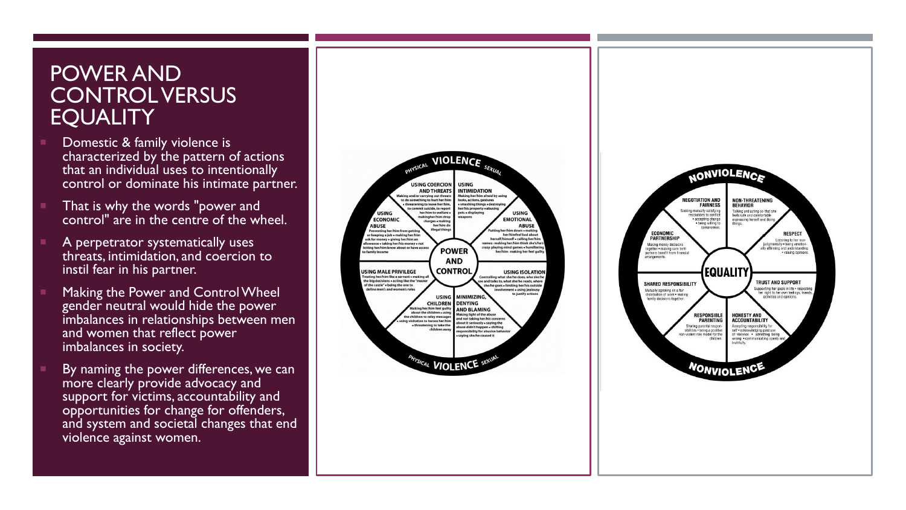#### POWER AND CONTROL VERSUS **EQUALITY**

- Domestic & family violence is characterized by the pattern of actions that an individual uses to intentionally control or dominate his intimate partner.
- That is why the words "power and control" are in the centre of the wheel.
- A perpetrator systematically uses threats, intimidation, and coercion to instil fear in his partner.
- Making the Power and Control Wheel gender neutral would hide the power imbalances in relationships between men and women that reflect power imbalances in society.
- By naming the power differences, we can more clearly provide advocacy and support for victims, accountability and opportunities for change for offenders, and system and societal changes that end violence against women.



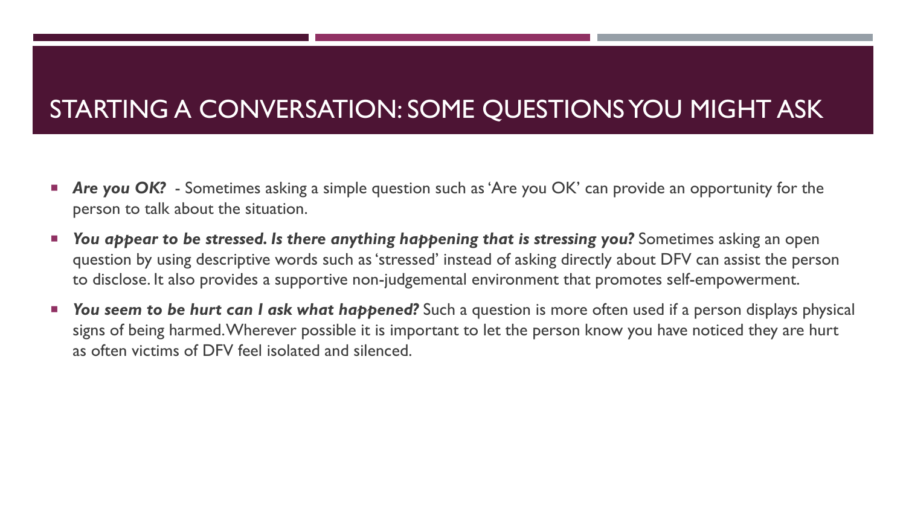## STARTING A CONVERSATION: SOME QUESTIONS YOU MIGHT ASK

- *Are you OK?*  Sometimes asking a simple question such as 'Are you OK' can provide an opportunity for the person to talk about the situation.
- **P** You appear to be stressed. Is there anything happening that is stressing you? Sometimes asking an open question by using descriptive words such as 'stressed' instead of asking directly about DFV can assist the person to disclose. It also provides a supportive non-judgemental environment that promotes self-empowerment.
- *You seem to be hurt can I ask what happened?* Such a question is more often used if a person displays physical signs of being harmed. Wherever possible it is important to let the person know you have noticed they are hurt as often victims of DFV feel isolated and silenced.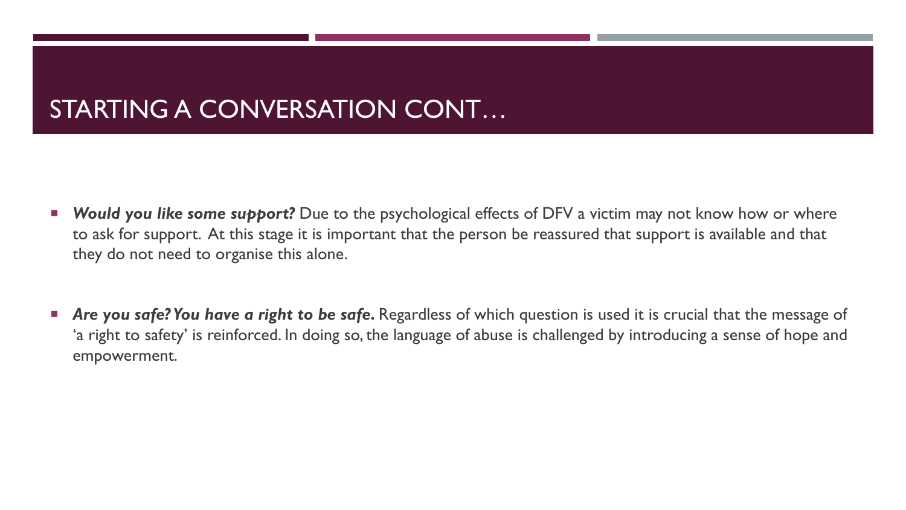#### STARTING A CONVERSATION CONT…

- *Would you like some support?* Due to the psychological effects of DFV a victim may not know how or where to ask for support. At this stage it is important that the person be reassured that support is available and that they do not need to organise this alone.
- Are you safe? You have a right to be safe. Regardless of which question is used it is crucial that the message of 'a right to safety' is reinforced. In doing so, the language of abuse is challenged by introducing a sense of hope and empowerment.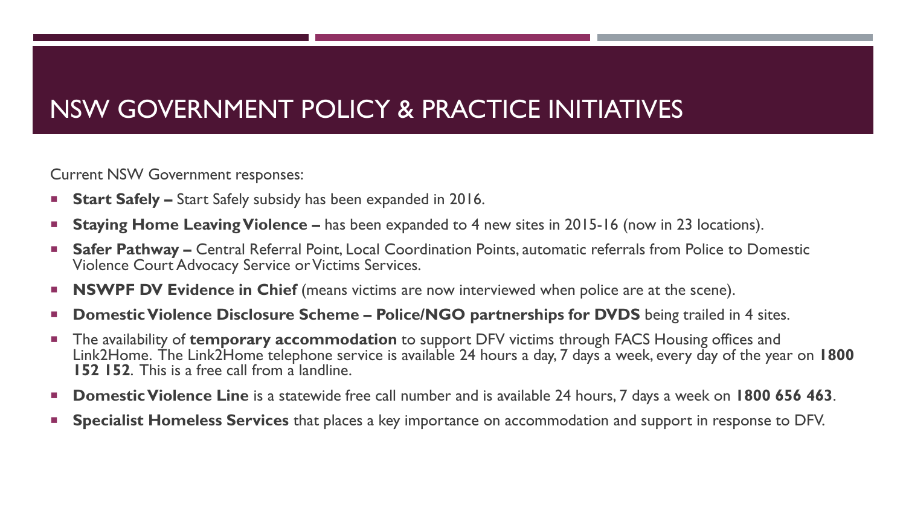#### NSW GOVERNMENT POLICY & PRACTICE INITIATIVES

Current NSW Government responses:

- **Start Safely –** Start Safely subsidy has been expanded in 2016.
- **Staying Home Leaving Violence –** has been expanded to 4 new sites in 2015-16 (now in 23 locations).
- **Safer Pathway –** Central Referral Point, Local Coordination Points, automatic referrals from Police to Domestic Violence Court Advocacy Service or Victims Services.
- **NSWPF DV Evidence in Chief** (means victims are now interviewed when police are at the scene).
- **Domestic Violence Disclosure Scheme Police/NGO partnerships for DVDS** being trailed in 4 sites.
- The availability of **temporary accommodation** to support DFV victims through FACS Housing offices and Link2Home. The Link2Home telephone service is available 24 hours a day, 7 days a week, every day of the year on **1800 152 152**. This is a free call from a landline.
- **Domestic Violence Line** is a statewide free call number and is available 24 hours, 7 days a week on **1800 656 463**.
- **Specialist Homeless Services** that places a key importance on accommodation and support in response to DFV.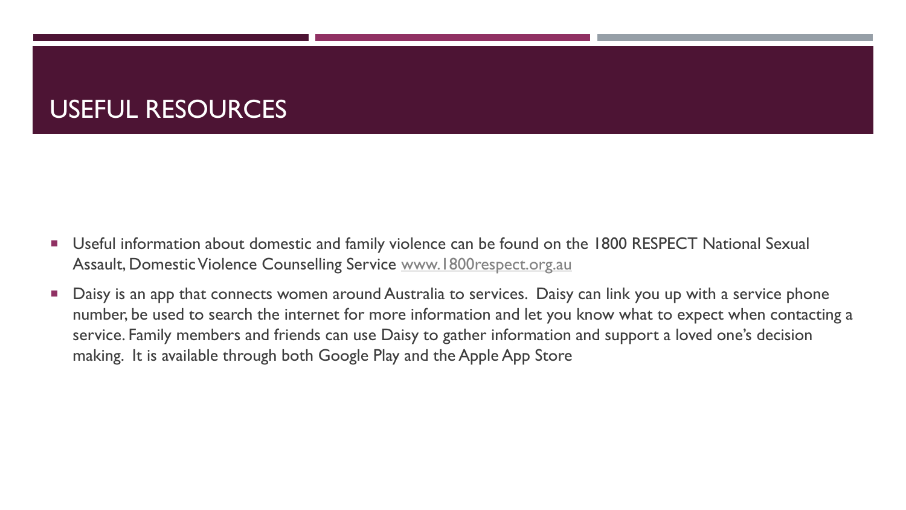#### USEFUL RESOURCES

- **Useful information about domestic and family violence can be found on the 1800 RESPECT National Sexual** Assault, Domestic Violence Counselling Service [www.1800respect.org.au](http://www.1800respect.org.au/)
- Daisy is an app that connects women around Australia to services. Daisy can link you up with a service phone number, be used to search the internet for more information and let you know what to expect when contacting a service. Family members and friends can use Daisy to gather information and support a loved one's decision making. It is available through both Google Play and the Apple App Store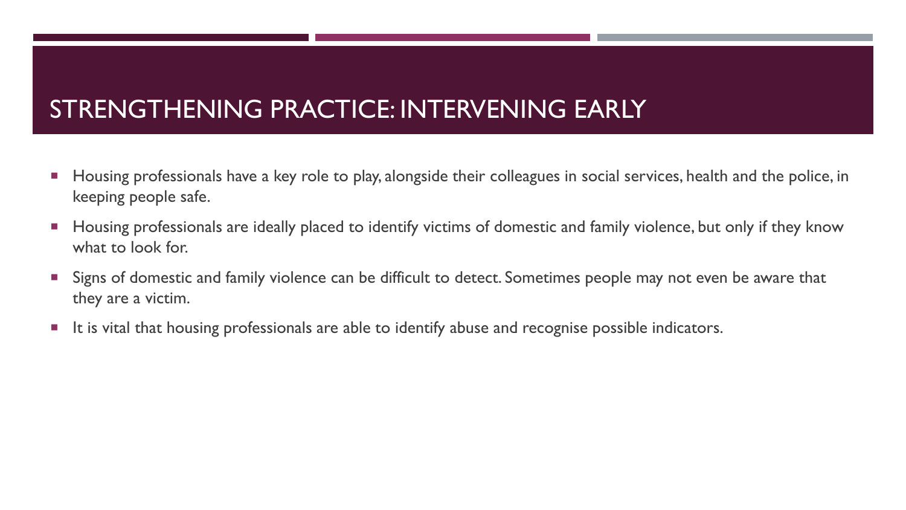#### STRENGTHENING PRACTICE: INTERVENING EARLY

- Housing professionals have a key role to play, alongside their colleagues in social services, health and the police, in keeping people safe.
- Housing professionals are ideally placed to identify victims of domestic and family violence, but only if they know what to look for.
- **Signs of domestic and family violence can be difficult to detect. Sometimes people may not even be aware that** they are a victim.
- It is vital that housing professionals are able to identify abuse and recognise possible indicators.